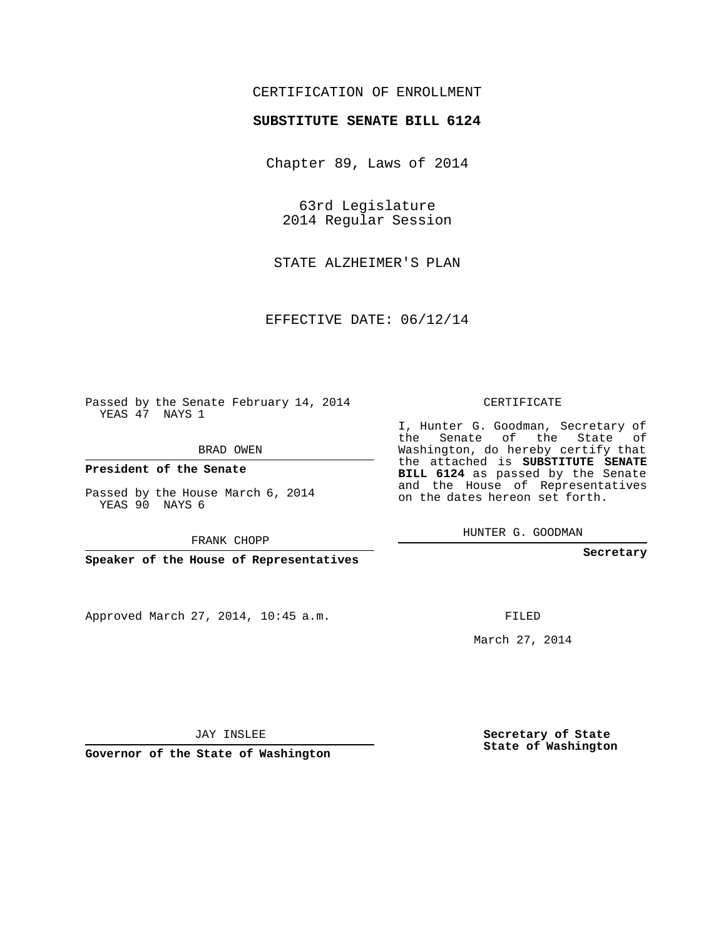## CERTIFICATION OF ENROLLMENT

## **SUBSTITUTE SENATE BILL 6124**

Chapter 89, Laws of 2014

63rd Legislature 2014 Regular Session

STATE ALZHEIMER'S PLAN

EFFECTIVE DATE: 06/12/14

Passed by the Senate February 14, 2014 YEAS 47 NAYS 1

BRAD OWEN

**President of the Senate**

Passed by the House March 6, 2014 YEAS 90 NAYS 6

FRANK CHOPP

**Speaker of the House of Representatives**

Approved March 27, 2014, 10:45 a.m.

CERTIFICATE

I, Hunter G. Goodman, Secretary of the Senate of the State of Washington, do hereby certify that the attached is **SUBSTITUTE SENATE BILL 6124** as passed by the Senate and the House of Representatives on the dates hereon set forth.

HUNTER G. GOODMAN

**Secretary**

FILED

March 27, 2014

**Secretary of State State of Washington**

JAY INSLEE

**Governor of the State of Washington**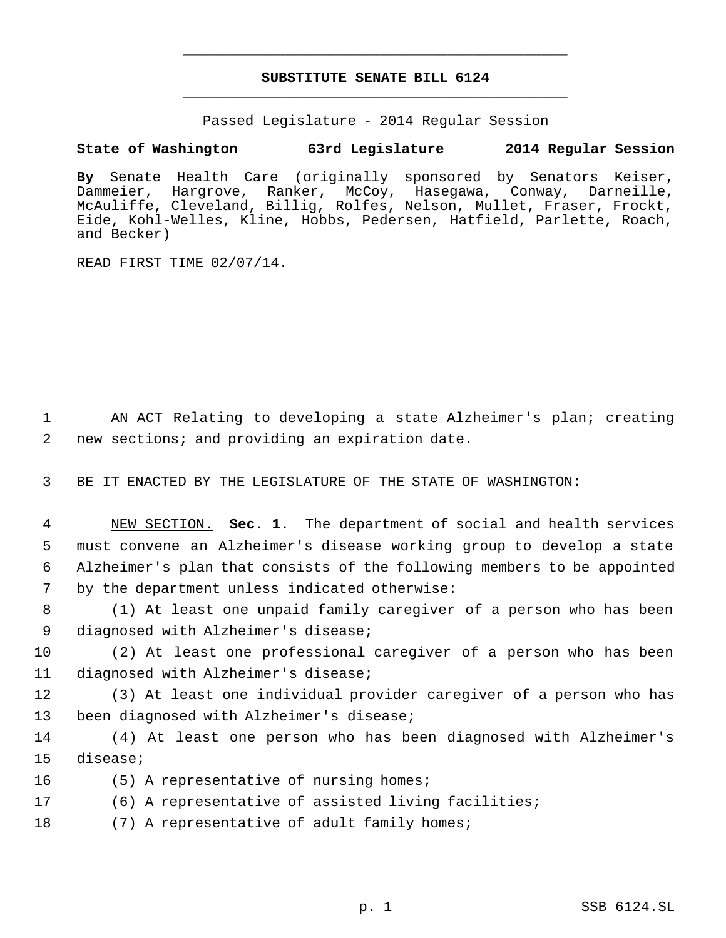## **SUBSTITUTE SENATE BILL 6124** \_\_\_\_\_\_\_\_\_\_\_\_\_\_\_\_\_\_\_\_\_\_\_\_\_\_\_\_\_\_\_\_\_\_\_\_\_\_\_\_\_\_\_\_\_

\_\_\_\_\_\_\_\_\_\_\_\_\_\_\_\_\_\_\_\_\_\_\_\_\_\_\_\_\_\_\_\_\_\_\_\_\_\_\_\_\_\_\_\_\_

Passed Legislature - 2014 Regular Session

## **State of Washington 63rd Legislature 2014 Regular Session**

**By** Senate Health Care (originally sponsored by Senators Keiser, Dammeier, Hargrove, Ranker, McCoy, Hasegawa, Conway, Darneille, McAuliffe, Cleveland, Billig, Rolfes, Nelson, Mullet, Fraser, Frockt, Eide, Kohl-Welles, Kline, Hobbs, Pedersen, Hatfield, Parlette, Roach, and Becker)

READ FIRST TIME 02/07/14.

 1 AN ACT Relating to developing a state Alzheimer's plan; creating 2 new sections; and providing an expiration date.

3 BE IT ENACTED BY THE LEGISLATURE OF THE STATE OF WASHINGTON:

 NEW SECTION. **Sec. 1.** The department of social and health services must convene an Alzheimer's disease working group to develop a state Alzheimer's plan that consists of the following members to be appointed by the department unless indicated otherwise:

 8 (1) At least one unpaid family caregiver of a person who has been 9 diagnosed with Alzheimer's disease;

10 (2) At least one professional caregiver of a person who has been 11 diagnosed with Alzheimer's disease;

12 (3) At least one individual provider caregiver of a person who has 13 been diagnosed with Alzheimer's disease;

14 (4) At least one person who has been diagnosed with Alzheimer's 15 disease;

- 16 (5) A representative of nursing homes;
- 17 (6) A representative of assisted living facilities;
- 18 (7) A representative of adult family homes;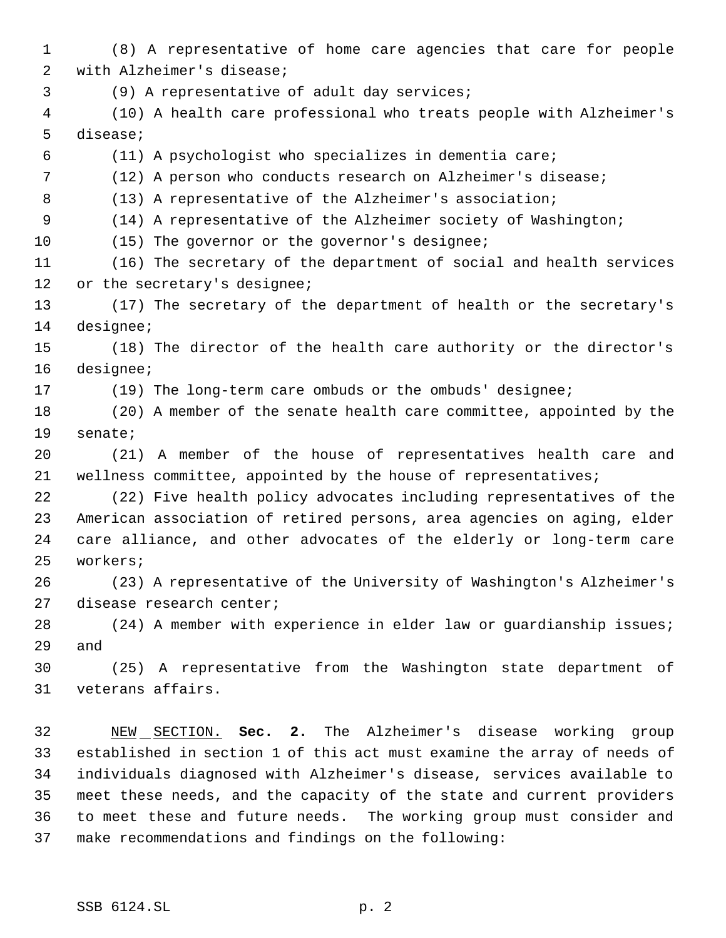(8) A representative of home care agencies that care for people with Alzheimer's disease; (9) A representative of adult day services; (10) A health care professional who treats people with Alzheimer's disease; (11) A psychologist who specializes in dementia care; (12) A person who conducts research on Alzheimer's disease; 8 (13) A representative of the Alzheimer's association; (14) A representative of the Alzheimer society of Washington; (15) The governor or the governor's designee; (16) The secretary of the department of social and health services 12 or the secretary's designee; (17) The secretary of the department of health or the secretary's designee; (18) The director of the health care authority or the director's designee; (19) The long-term care ombuds or the ombuds' designee; (20) A member of the senate health care committee, appointed by the senate; (21) A member of the house of representatives health care and wellness committee, appointed by the house of representatives; (22) Five health policy advocates including representatives of the American association of retired persons, area agencies on aging, elder care alliance, and other advocates of the elderly or long-term care workers; (23) A representative of the University of Washington's Alzheimer's disease research center; (24) A member with experience in elder law or guardianship issues; and (25) A representative from the Washington state department of

veterans affairs.

 NEW SECTION. **Sec. 2.** The Alzheimer's disease working group established in section 1 of this act must examine the array of needs of individuals diagnosed with Alzheimer's disease, services available to meet these needs, and the capacity of the state and current providers to meet these and future needs. The working group must consider and make recommendations and findings on the following: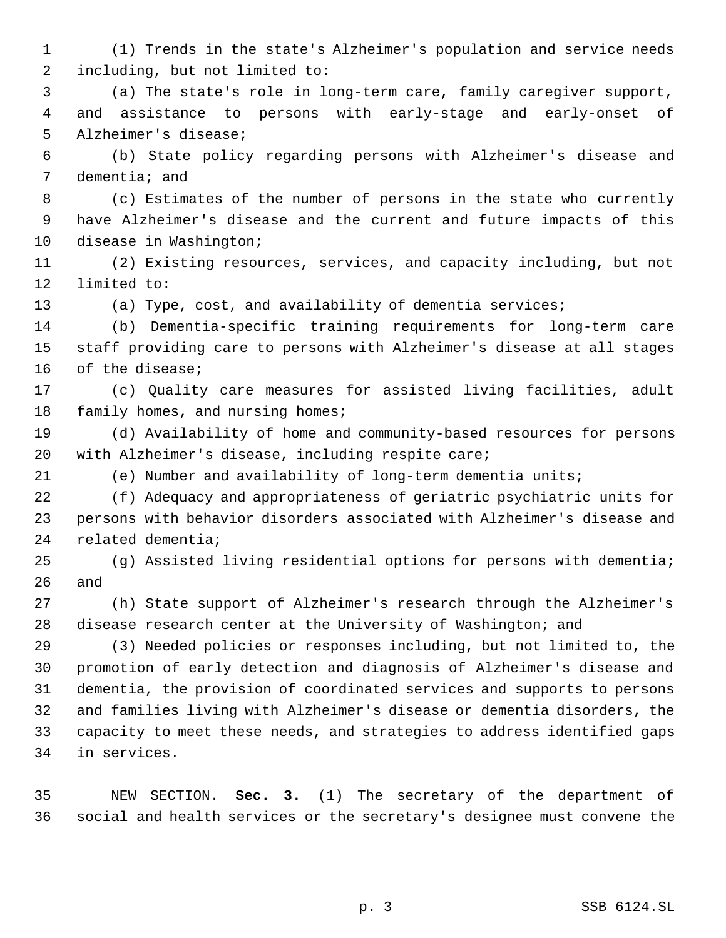(1) Trends in the state's Alzheimer's population and service needs including, but not limited to:

 (a) The state's role in long-term care, family caregiver support, and assistance to persons with early-stage and early-onset of Alzheimer's disease;

 (b) State policy regarding persons with Alzheimer's disease and dementia; and

 (c) Estimates of the number of persons in the state who currently have Alzheimer's disease and the current and future impacts of this disease in Washington;

 (2) Existing resources, services, and capacity including, but not limited to:

(a) Type, cost, and availability of dementia services;

 (b) Dementia-specific training requirements for long-term care staff providing care to persons with Alzheimer's disease at all stages of the disease;

 (c) Quality care measures for assisted living facilities, adult 18 family homes, and nursing homes;

 (d) Availability of home and community-based resources for persons with Alzheimer's disease, including respite care;

(e) Number and availability of long-term dementia units;

 (f) Adequacy and appropriateness of geriatric psychiatric units for persons with behavior disorders associated with Alzheimer's disease and related dementia;

 (g) Assisted living residential options for persons with dementia; and

 (h) State support of Alzheimer's research through the Alzheimer's disease research center at the University of Washington; and

 (3) Needed policies or responses including, but not limited to, the promotion of early detection and diagnosis of Alzheimer's disease and dementia, the provision of coordinated services and supports to persons and families living with Alzheimer's disease or dementia disorders, the capacity to meet these needs, and strategies to address identified gaps in services.

 NEW SECTION. **Sec. 3.** (1) The secretary of the department of social and health services or the secretary's designee must convene the